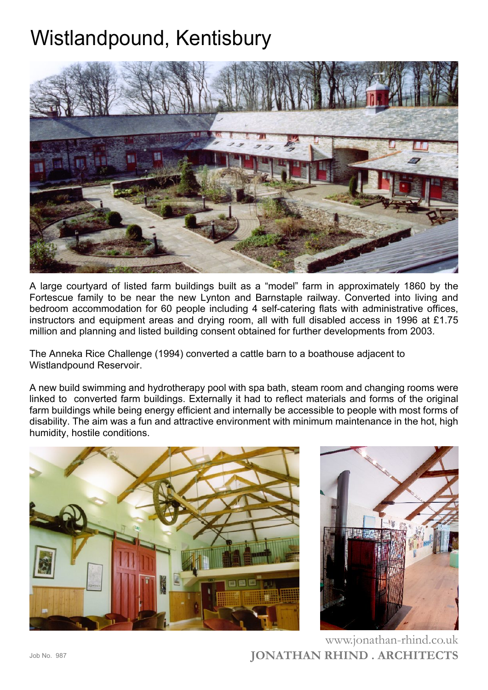## Wistlandpound, Kentisbury



A large courtyard of listed farm buildings built as a "model" farm in approximately 1860 by the Fortescue family to be near the new Lynton and Barnstaple railway. Converted into living and bedroom accommodation for 60 people including 4 self-catering flats with administrative offices, instructors and equipment areas and drying room, all with full disabled access in 1996 at £1.75 million and planning and listed building consent obtained for further developments from 2003.

The Anneka Rice Challenge (1994) converted a cattle barn to a boathouse adjacent to Wistlandpound Reservoir.

A new build swimming and hydrotherapy pool with spa bath, steam room and changing rooms were linked to converted farm buildings. Externally it had to reflect materials and forms of the original farm buildings while being energy efficient and internally be accessible to people with most forms of disability. The aim was a fun and attractive environment with minimum maintenance in the hot, high humidity, hostile conditions.





**JONATHAN RHIND . ARCHITECTS** www.jonathan-rhind.co.uk